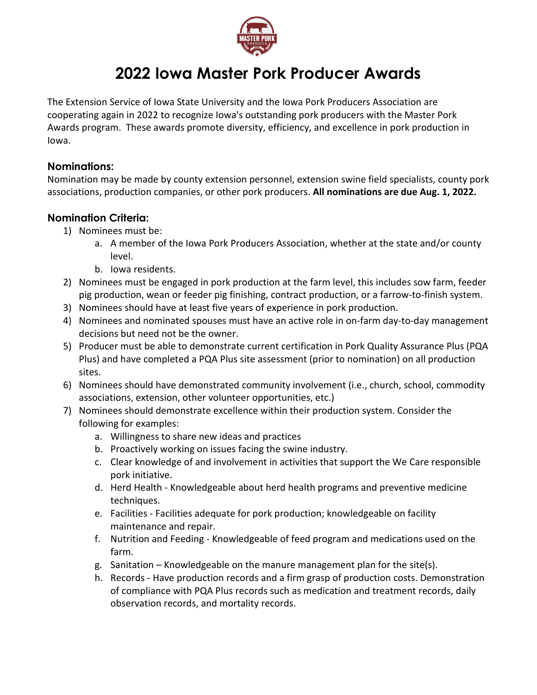

# **2022 Iowa Master Pork Producer Awards**

The Extension Service of Iowa State University and the Iowa Pork Producers Association are cooperating again in 2022 to recognize Iowa's outstanding pork producers with the Master Pork Awards program. These awards promote diversity, efficiency, and excellence in pork production in Iowa.

#### **Nominations:**

Nomination may be made by county extension personnel, extension swine field specialists, county pork associations, production companies, or other pork producers. **All nominations are due Aug. 1, 2022.**

## **Nomination Criteria:**

- 1) Nominees must be:
	- a. A member of the Iowa Pork Producers Association, whether at the state and/or county level.
	- b. Iowa residents.
- 2) Nominees must be engaged in pork production at the farm level, this includes sow farm, feeder pig production, wean or feeder pig finishing, contract production, or a farrow-to-finish system.
- 3) Nominees should have at least five years of experience in pork production.
- 4) Nominees and nominated spouses must have an active role in on-farm day-to-day management decisions but need not be the owner.
- 5) Producer must be able to demonstrate current certification in Pork Quality Assurance Plus (PQA Plus) and have completed a PQA Plus site assessment (prior to nomination) on all production sites.
- 6) Nominees should have demonstrated community involvement (i.e., church, school, commodity associations, extension, other volunteer opportunities, etc.)
- 7) Nominees should demonstrate excellence within their production system. Consider the following for examples:
	- a. Willingness to share new ideas and practices
	- b. Proactively working on issues facing the swine industry.
	- c. Clear knowledge of and involvement in activities that support the We Care responsible pork initiative.
	- d. Herd Health Knowledgeable about herd health programs and preventive medicine techniques.
	- e. Facilities Facilities adequate for pork production; knowledgeable on facility maintenance and repair.
	- f. Nutrition and Feeding Knowledgeable of feed program and medications used on the farm.
	- g. Sanitation Knowledgeable on the manure management plan for the site(s).
	- h. Records Have production records and a firm grasp of production costs. Demonstration of compliance with PQA Plus records such as medication and treatment records, daily observation records, and mortality records.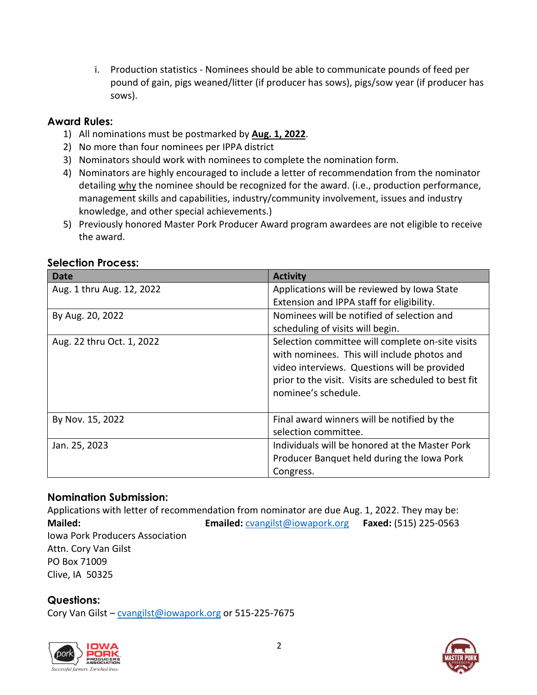i. Production statistics - Nominees should be able to communicate pounds of feed per pound of gain, pigs weaned/litter (if producer has sows), pigs/sow year (if producer has sows).

## **Award Rules:**

- 1) All nominations must be postmarked by **Aug. 1, 2022**.
- 2) No more than four nominees per IPPA district
- 3) Nominators should work with nominees to complete the nomination form.
- 4) Nominators are highly encouraged to include a letter of recommendation from the nominator detailing why the nominee should be recognized for the award. (i.e., production performance, management skills and capabilities, industry/community involvement, issues and industry knowledge, and other special achievements.)
- 5) Previously honored Master Pork Producer Award program awardees are not eligible to receive the award.

| <b>Date</b>               | <b>Activity</b>                                      |  |
|---------------------------|------------------------------------------------------|--|
| Aug. 1 thru Aug. 12, 2022 | Applications will be reviewed by Iowa State          |  |
|                           | Extension and IPPA staff for eligibility.            |  |
| By Aug. 20, 2022          | Nominees will be notified of selection and           |  |
|                           | scheduling of visits will begin.                     |  |
| Aug. 22 thru Oct. 1, 2022 | Selection committee will complete on-site visits     |  |
|                           | with nominees. This will include photos and          |  |
|                           | video interviews. Questions will be provided         |  |
|                           | prior to the visit. Visits are scheduled to best fit |  |
|                           | nominee's schedule.                                  |  |
|                           |                                                      |  |
| By Nov. 15, 2022          | Final award winners will be notified by the          |  |
|                           | selection committee.                                 |  |
| Jan. 25, 2023             | Individuals will be honored at the Master Pork       |  |
|                           | Producer Banquet held during the Iowa Pork           |  |
|                           | Congress.                                            |  |

#### **Selection Process:**

## **Nomination Submission:**

Applications with letter of recommendation from nominator are due Aug. 1, 2022. They may be: **Mailed: Emailed:** [cvangilst@iowapork.org](mailto:cvangilst@iowapork.org) **Faxed:** (515) 225-0563 Iowa Pork Producers Association Attn. Cory Van Gilst PO Box 71009 Clive, IA 50325

**Questions:**

Cory Van Gilst - [cvangilst@iowapork.org](mailto:cvangilst@iowapork.org) or 515-225-7675



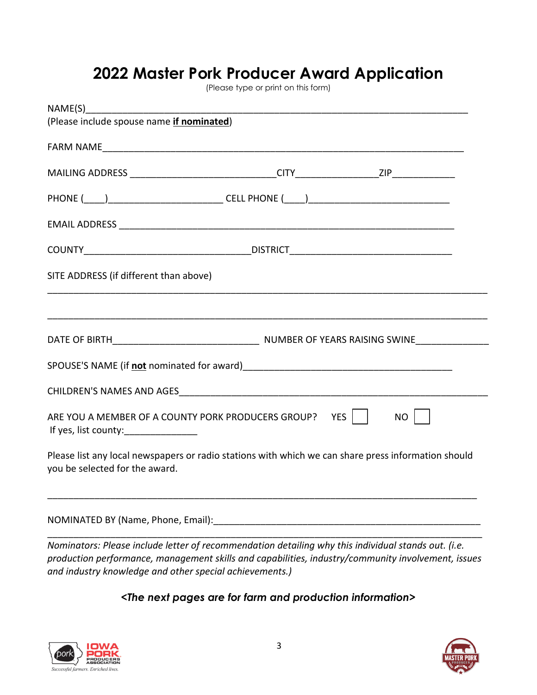# **2022 Master Pork Producer Award Application**

(Please type or print on this form)

| (Please include spouse name <i>if nominated</i> )                                                                                     |  |  |  |
|---------------------------------------------------------------------------------------------------------------------------------------|--|--|--|
|                                                                                                                                       |  |  |  |
|                                                                                                                                       |  |  |  |
|                                                                                                                                       |  |  |  |
|                                                                                                                                       |  |  |  |
|                                                                                                                                       |  |  |  |
| SITE ADDRESS (if different than above)                                                                                                |  |  |  |
|                                                                                                                                       |  |  |  |
|                                                                                                                                       |  |  |  |
| SPOUSE'S NAME (if not nominated for award) SPOUSE'S NAME (if not nominated for award)                                                 |  |  |  |
|                                                                                                                                       |  |  |  |
| ARE YOU A MEMBER OF A COUNTY PORK PRODUCERS GROUP?    YES    <br>NO II<br>If yes, list county:_________________                       |  |  |  |
| Please list any local newspapers or radio stations with which we can share press information should<br>you be selected for the award. |  |  |  |
|                                                                                                                                       |  |  |  |

*Nominators: Please include letter of recommendation detailing why this individual stands out. (i.e. production performance, management skills and capabilities, industry/community involvement, issues and industry knowledge and other special achievements.)*

# *<The next pages are for farm and production information>*



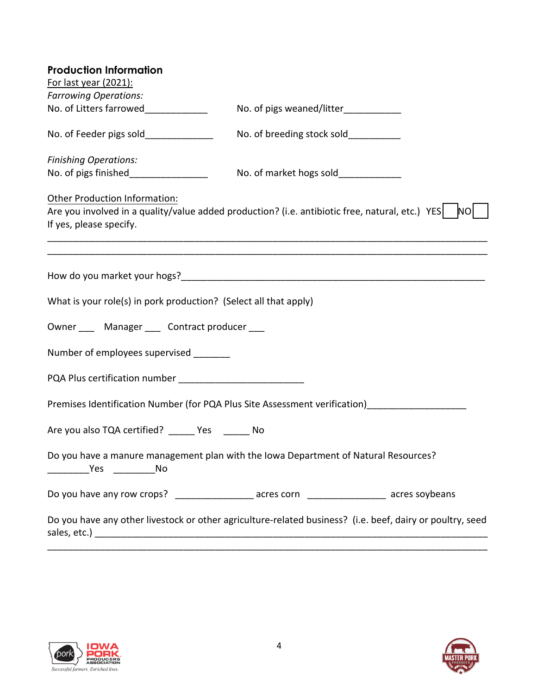| <b>Production Information</b>                                                                                                                                            |                                       |                |
|--------------------------------------------------------------------------------------------------------------------------------------------------------------------------|---------------------------------------|----------------|
| For last year (2021):                                                                                                                                                    |                                       |                |
| <b>Farrowing Operations:</b>                                                                                                                                             |                                       |                |
| No. of Litters farrowed_____________                                                                                                                                     | No. of pigs weaned/litter____________ |                |
| No. of Feeder pigs sold______________                                                                                                                                    | No. of breeding stock sold___________ |                |
| <b>Finishing Operations:</b>                                                                                                                                             |                                       |                |
| No. of pigs finished_________________                                                                                                                                    | No. of market hogs sold_____________  |                |
| <b>Other Production Information:</b>                                                                                                                                     |                                       |                |
| Are you involved in a quality/value added production? (i.e. antibiotic free, natural, etc.) YES                                                                          |                                       | N <sub>O</sub> |
| If yes, please specify.                                                                                                                                                  |                                       |                |
|                                                                                                                                                                          |                                       |                |
|                                                                                                                                                                          |                                       |                |
| What is your role(s) in pork production? (Select all that apply)                                                                                                         |                                       |                |
| Owner ____ Manager ____ Contract producer ___                                                                                                                            |                                       |                |
| Number of employees supervised ________                                                                                                                                  |                                       |                |
|                                                                                                                                                                          |                                       |                |
|                                                                                                                                                                          |                                       |                |
| Are you also TQA certified? ______ Yes _______ No                                                                                                                        |                                       |                |
| Do you have a manure management plan with the Iowa Department of Natural Resources?<br><b>Solution Security State Security State State State State State State State</b> |                                       |                |
| Do you have any row crops? ____________________ acres corn _________________ acres soybeans                                                                              |                                       |                |
| Do you have any other livestock or other agriculture-related business? (i.e. beef, dairy or poultry, seed                                                                |                                       |                |





\_\_\_\_\_\_\_\_\_\_\_\_\_\_\_\_\_\_\_\_\_\_\_\_\_\_\_\_\_\_\_\_\_\_\_\_\_\_\_\_\_\_\_\_\_\_\_\_\_\_\_\_\_\_\_\_\_\_\_\_\_\_\_\_\_\_\_\_\_\_\_\_\_\_\_\_\_\_\_\_\_\_\_\_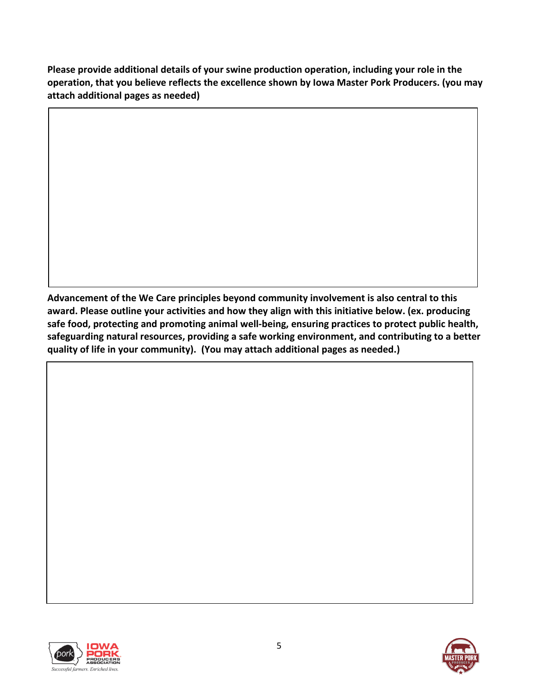**Please provide additional details of your swine production operation, including your role in the operation, that you believe reflects the excellence shown by Iowa Master Pork Producers. (you may attach additional pages as needed)**

**Advancement of the We Care principles beyond community involvement is also central to this award. Please outline your activities and how they align with this initiative below. (ex. producing safe food, protecting and promoting animal well-being, ensuring practices to protect public health, safeguarding natural resources, providing a safe working environment, and contributing to a better quality of life in your community). (You may attach additional pages as needed.)**